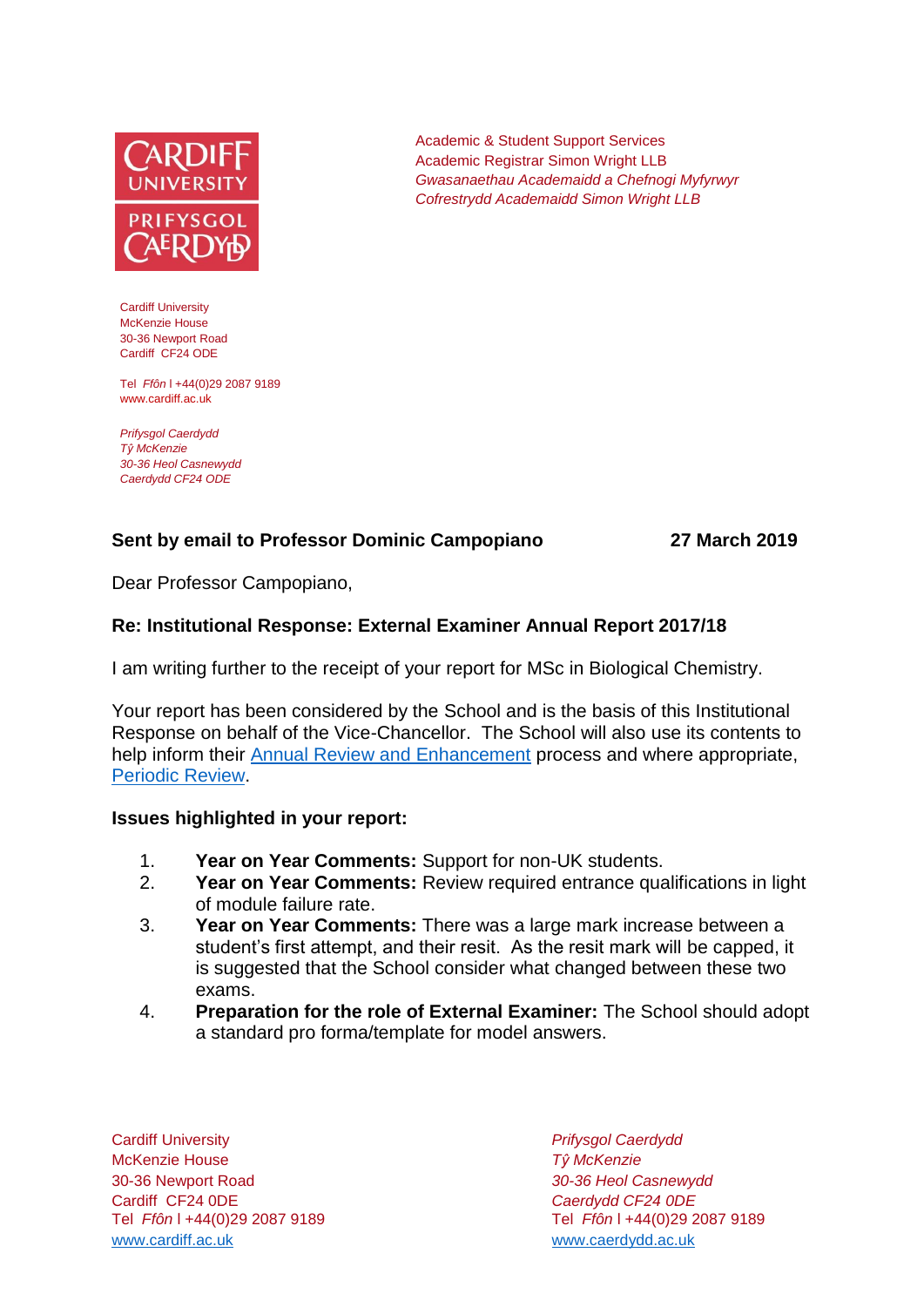

Cardiff University McKenzie House 30-36 Newport Road Cardiff CF24 ODE

Tel *Ffôn* l +44(0)29 2087 9189 www.cardiff.ac.uk

*Prifysgol Caerdydd Tŷ McKenzie 30-36 Heol Casnewydd Caerdydd CF24 ODE*

# **Sent by email to Professor Dominic Campopiano 27 March 2019**

Dear Professor Campopiano,

### **Re: Institutional Response: External Examiner Annual Report 2017/18**

I am writing further to the receipt of your report for MSc in Biological Chemistry.

Your report has been considered by the School and is the basis of this Institutional Response on behalf of the Vice-Chancellor. The School will also use its contents to help inform their **[Annual Review and Enhancement](https://learningcentral.cf.ac.uk/webapps/portal/execute/tabs/tabAction?tab_tab_group_id=_1_1)** process and where appropriate, [Periodic Review.](http://www.cardiff.ac.uk/public-information/quality-and-standards/monitoring-and-review/periodic-review)

Academic & Student Support Services Academic Registrar Simon Wright LLB

*Gwasanaethau Academaidd a Chefnogi Myfyrwyr Cofrestrydd Academaidd Simon Wright LLB*

#### **Issues highlighted in your report:**

- 1. **Year on Year Comments:** Support for non-UK students.
- 2. **Year on Year Comments:** Review required entrance qualifications in light of module failure rate.
- 3. **Year on Year Comments:** There was a large mark increase between a student's first attempt, and their resit. As the resit mark will be capped, it is suggested that the School consider what changed between these two exams.
- 4. **Preparation for the role of External Examiner:** The School should adopt a standard pro forma/template for model answers.

Cardiff University *Prifysgol Caerdydd* McKenzie House *Tŷ McKenzie* 30-36 Newport Road *30-36 Heol Casnewydd* Cardiff CF24 0DE *Caerdydd CF24 0DE* [www.cardiff.ac.uk](http://www.cardiff.ac.uk/) www.cardiff.ac.uk

Tel *Ffôn* l +44(0)29 2087 9189 Tel *Ffôn* l +44(0)29 2087 9189